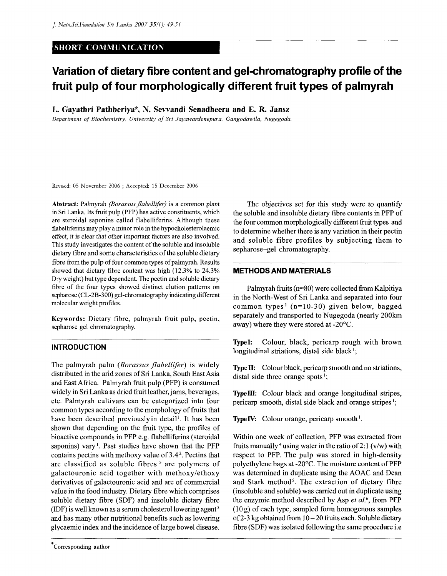## **SHORT COMMUNICATION**

# **Variation of dietary fibre content and gel-chromatography profile of the fruit pulp of four morphologically different fruit types of palmyrah**

**L. Gayathri Pathberiya\*, N. Sewandi Senadheera and E. R. Jansz** 

*Department of Biochemistry, University of Sri Jayawardenepura, Gangodawila, Nugegoda.* 

Revised: 05 November 2006 ; Accepted: 15 December 2006

Abstract: Palmyrah *(Borassus flabellifer)* is a common plant in Sri Lanka. Its fruit pulp (PFP) has active constituents, which are steroidal saponins called flabelliferins. Although these flabelliferins may play a minor role in the hypocholesterolaemic effect, it is clear that other important factors are also involved. This study investigates the content of the soluble and insoluble dietary fibre and some characteristics of the soluble dietary fibre from the pulp of four common types of palmyrah. Results showed that dietary fibre content was high (12.3% to 24.3% Dry weight) but type dependent. The pectin and soluble dietary fibre of the four types showed distinct elution patterns on sepharose (CL-2B-300) gel-chromatography indicating different molecular weight profiles.

Keywords: Dietary fibre, palmyrah fruit pulp, pectin, sepharose gel chromatography.

#### **INTRODUCTION**

The palmyrah palm *{Borassus flabellifer)* is widely distributed in the arid zones of Sri Lanka, South East Asia and East Africa. Palmyrah fruit pulp (PFP) is consumed widely in Sri Lanka as dried fruit leather, jams, beverages, etc. Palmyrah cultivars can be categorized into four common types according to the morphology of fruits that have been described previously in detail<sup>1</sup>. It has been shown that depending on the fruit type, the profiles of bioactive compounds in PFP e.g. flabelliferins (steroidal saponins) vary<sup>1</sup>. Past studies have shown that the PFP contains pectins with methoxy value of 3.4<sup>2</sup> . Pectins that are classified as soluble fibres <sup>3</sup> are polymers of galactouronic acid together with methoxy/ethoxy derivatives of galactouronic acid and are of commercial value in the food industry. Dietary fibre which comprises soluble dietary fibre (SDF) and insoluble dietary fibre (IDF) is well known as a serum cholesterol lowering agent<sup>3</sup> and has many other nutritional benefits such as lowering glycaemic index and the incidence of large bowel disease.

The objectives set for this study were to quantify the soluble and insoluble dietary fibre contents in PFP of the four common morphologically different fruit types and to determine whether there is any variation in their pectin and soluble fibre profiles by subjecting them to sepharose-gel chromatography.

#### **METHODS AND MATERIALS**

Palmyrah fruits ( $n=80$ ) were collected from Kalpitiya in the North-West of Sri Lanka and separated into four common types<sup>1</sup> ( $n=10-30$ ) given below, bagged separately and transported to Nugegoda (nearly 200km away) where they were stored at -20°C.

**Typel:** Colour, black, pericarp rough with brown longitudinal striations, distal side black<sup>1</sup>;

**Type** II: Colour black, pericarp smooth and no striations, distal side three orange spots<sup>1</sup>;

**Typelll:** Colour black and orange longitudinal stripes, pericarp smooth, distal side black and orange stripes<sup>1</sup>;

Type IV: Colour orange, pericarp smooth<sup>1</sup>.

Within one week of collection, PFP was extracted from fruits manually <sup>4</sup> using water in the ratio of 2:1 (v/w) with respect to PFP. The pulp was stored in high-density polyethylene bags at -20°C. The moisture content of PFP was determined in duplicate using the AOAC and Dean and Stark method<sup>5</sup>. The extraction of dietary fibre (insoluble and soluble) was carried out in duplicate using the enzymic method described by Asp *et al.<sup>6</sup> ,* from PFP  $(10 g)$  of each type, sampled form homogenous samples of 2-3 kg obtained from  $10 - 20$  fruits each. Soluble dietary fibre (SDF) was isolated following the same procedure i.e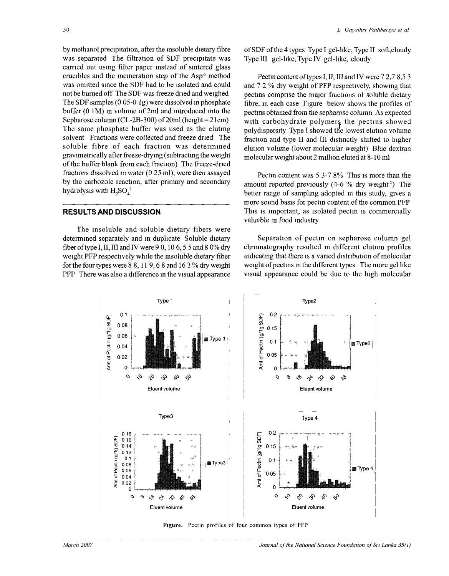by methanol precipitation, after the insoluble dietary fibre was separated The filtration of SDF precipitate was carried out using filter paper instead of sintered glass crucibles and the incineration step of the Asp<sup>6</sup> method was omitted since the SDF had to be isolated and could not be burned off The SDF was freeze dried and weighed The SDF samples  $(0.05-0.1)$  were dissolved in phosphate buffer (0 IM) in volume of 2ml and introduced into the Sepharose column (CL-2B-300) of 20ml (height = 21cm) The same phosphate buffer was used as the eluting solvent Fractions were collected and freeze dried The soluble fibre of each fraction was determined gravimetncally after freeze-drymg (subtracting the weight of the buffer blank from each fraction) The freeze-dned fractions dissolved in water (0 25 ml), were then assayed by the carbozole reaction, after primary and secondary hydrolysis with  $H_2SO_4^{\gamma}$ 

### RESULTS AND DISCUSSION

The insoluble and soluble dietary fibers were determined separately and in duplicate Soluble dietary fiber of type I, II, III and IV were 9 0, 10 6, 5 5 and 8 0% dry weight PFP respectively while the insoluble dietary fiber for the four types were  $8,8,11,9,6,8$  and  $16,3\%$  dry weight PFP There was also a difference in the visual appearance ofSDFofthe4types Type I gel-like, Type II soft,cloudy Type HI gel-like, Type IV gel-like, cloudy

Pectm content of types I, II, III and IV were 7 2,7 8,5 3 and 7 2 % dry weight of PFP respectively, showing that pectins comprise the major fractions of soluble dietary fibre, in each case Figure below shows the profiles of pectins obtained from the sepharose column As expected with carbohydrate polymers the pectins showed polydispersity Type I showed the lowest elution volume fraction and type II and III distinctly shifted to higher elution volume (lower molecular weight) Blue dextran molecular weight about 2 million eluted at 8-10 ml

Pectin content was 5 3-7 8% This is more than the amount reported previously  $(4-6 %$  dry weight<sup>2</sup>) The better range of sampling adopted in this study, gives a more sound basis for pectin content of the common PFP This is important, as isolated pectin is commercially valuable m food industry

Separation of pectin on sepharose column gel chromatography resulted in different elution profiles indicating that there is a varied distribution of molecular weight of pectins in the different types The more gel like visual appearance could be due to the high molecular



**Figure. Pectin profiles of four common types of PFP**